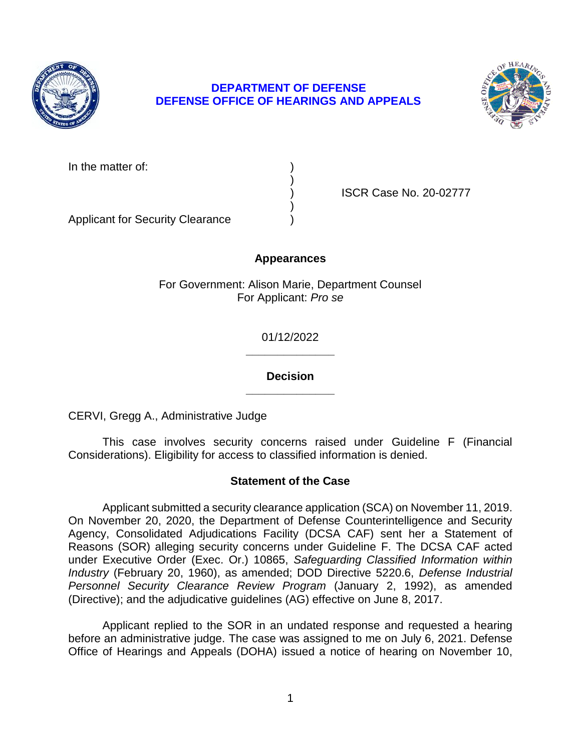

# **DEPARTMENT OF DEFENSE DEFENSE OFFICE OF HEARINGS AND APPEALS**



In the matter of:

) ISCR Case No. 20-02777

Applicant for Security Clearance )

## **Appearances**

)

)

For Government: Alison Marie, Department Counsel For Applicant: *Pro se* 

> **\_\_\_\_\_\_\_\_\_\_\_\_\_\_**  01/12/2022

> **\_\_\_\_\_\_\_\_\_\_\_\_\_\_ Decision**

CERVI, Gregg A., Administrative Judge

 This case involves security concerns raised under Guideline F (Financial Considerations). Eligibility for access to classified information is denied.

# **Statement of the Case**

 Applicant submitted a security clearance application (SCA) on November 11, 2019. On November 20, 2020, the Department of Defense Counterintelligence and Security Agency, Consolidated Adjudications Facility (DCSA CAF) sent her a Statement of Reasons (SOR) alleging security concerns under Guideline F. The DCSA CAF acted  under Executive Order (Exec. Or.) 10865, *Safeguarding Classified Information within Industry* (February 20, 1960), as amended; DOD Directive 5220.6, *Defense Industrial*  Personnel Security Clearance Review Program (January 2, 1992), as amended (Directive); and the adjudicative guidelines (AG) effective on June 8, 2017.

 Applicant replied to the SOR in an undated response and requested a hearing before an administrative judge. The case was assigned to me on July 6, 2021. Defense Office of Hearings and Appeals (DOHA) issued a notice of hearing on November 10,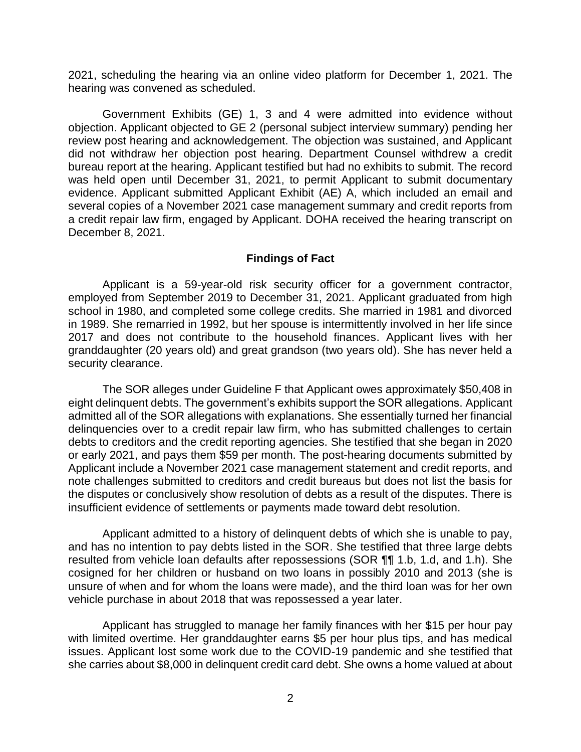2021, scheduling the hearing via an online video platform for December 1, 2021. The hearing was convened as scheduled.

 Government Exhibits (GE) 1, 3 and 4 were admitted into evidence without objection. Applicant objected to GE 2 (personal subject interview summary) pending her review post hearing and acknowledgement. The objection was sustained, and Applicant did not withdraw her objection post hearing. Department Counsel withdrew a credit bureau report at the hearing. Applicant testified but had no exhibits to submit. The record evidence. Applicant submitted Applicant Exhibit (AE) A, which included an email and a credit repair law firm, engaged by Applicant. DOHA received the hearing transcript on was held open until December 31, 2021, to permit Applicant to submit documentary several copies of a November 2021 case management summary and credit reports from December 8, 2021.

#### **Findings of Fact**

 employed from September 2019 to December 31, 2021. Applicant graduated from high school in 1980, and completed some college credits. She married in 1981 and divorced in 1989. She remarried in 1992, but her spouse is intermittently involved in her life since 2017 and does not contribute to the household finances. Applicant lives with her granddaughter (20 years old) and great grandson (two years old). She has never held a Applicant is a 59-year-old risk security officer for a government contractor, security clearance.

 admitted all of the SOR allegations with explanations. She essentially turned her financial delinquencies over to a credit repair law firm, who has submitted challenges to certain or early 2021, and pays them \$59 per month. The post-hearing documents submitted by Applicant include a November 2021 case management statement and credit reports, and note challenges submitted to creditors and credit bureaus but does not list the basis for the disputes or conclusively show resolution of debts as a result of the disputes. There is The SOR alleges under Guideline F that Applicant owes approximately \$50,408 in eight delinquent debts. The government's exhibits support the SOR allegations. Applicant debts to creditors and the credit reporting agencies. She testified that she began in 2020 insufficient evidence of settlements or payments made toward debt resolution.

 Applicant admitted to a history of delinquent debts of which she is unable to pay, and has no intention to pay debts listed in the SOR. She testified that three large debts resulted from vehicle loan defaults after repossessions (SOR ¶¶ 1.b, 1.d, and 1.h). She cosigned for her children or husband on two loans in possibly 2010 and 2013 (she is unsure of when and for whom the loans were made), and the third loan was for her own vehicle purchase in about 2018 that was repossessed a year later.

 Applicant has struggled to manage her family finances with her \$15 per hour pay with limited overtime. Her granddaughter earns \$5 per hour plus tips, and has medical issues. Applicant lost some work due to the COVID-19 pandemic and she testified that she carries about \$8,000 in delinquent credit card debt. She owns a home valued at about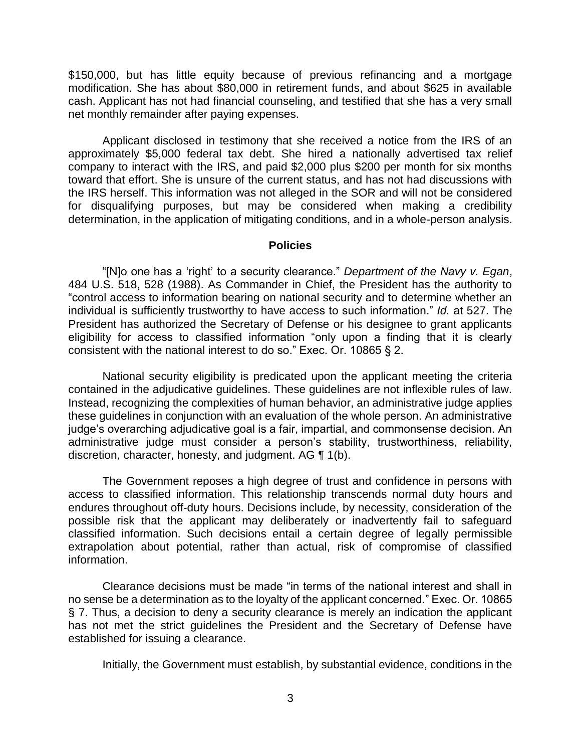\$150,000, but has little equity because of previous refinancing and a mortgage modification. She has about \$80,000 in retirement funds, and about \$625 in available cash. Applicant has not had financial counseling, and testified that she has a very small net monthly remainder after paying expenses.

 Applicant disclosed in testimony that she received a notice from the IRS of an approximately \$5,000 federal tax debt. She hired a nationally advertised tax relief company to interact with the IRS, and paid \$2,000 plus \$200 per month for six months the IRS herself. This information was not alleged in the SOR and will not be considered for disqualifying purposes, but may be considered when making a credibility determination, in the application of mitigating conditions, and in a whole-person analysis. toward that effort. She is unsure of the current status, and has not had discussions with

#### **Policies**

 "[N]o one has a 'right' to a security clearance." *Department of the Navy v. Egan*, 484 U.S. 518, 528 (1988). As Commander in Chief, the President has the authority to "control access to information bearing on national security and to determine whether an individual is sufficiently trustworthy to have access to such information." *Id.* at 527. The President has authorized the Secretary of Defense or his designee to grant applicants eligibility for access to classified information "only upon a finding that it is clearly consistent with the national interest to do so." Exec. Or. 10865 § 2.

 National security eligibility is predicated upon the applicant meeting the criteria contained in the adjudicative guidelines. These guidelines are not inflexible rules of law. Instead, recognizing the complexities of human behavior, an administrative judge applies these guidelines in conjunction with an evaluation of the whole person. An administrative administrative judge must consider a person's stability, trustworthiness, reliability, discretion, character, honesty, and judgment. AG ¶ 1(b). judge's overarching adjudicative goal is a fair, impartial, and commonsense decision. An

 The Government reposes a high degree of trust and confidence in persons with access to classified information. This relationship transcends normal duty hours and endures throughout off-duty hours. Decisions include, by necessity, consideration of the possible risk that the applicant may deliberately or inadvertently fail to safeguard classified information. Such decisions entail a certain degree of legally permissible extrapolation about potential, rather than actual, risk of compromise of classified information.

 Clearance decisions must be made "in terms of the national interest and shall in no sense be a determination as to the loyalty of the applicant concerned." Exec. Or. 10865 § 7. Thus, a decision to deny a security clearance is merely an indication the applicant has not met the strict guidelines the President and the Secretary of Defense have established for issuing a clearance.

Initially, the Government must establish, by substantial evidence, conditions in the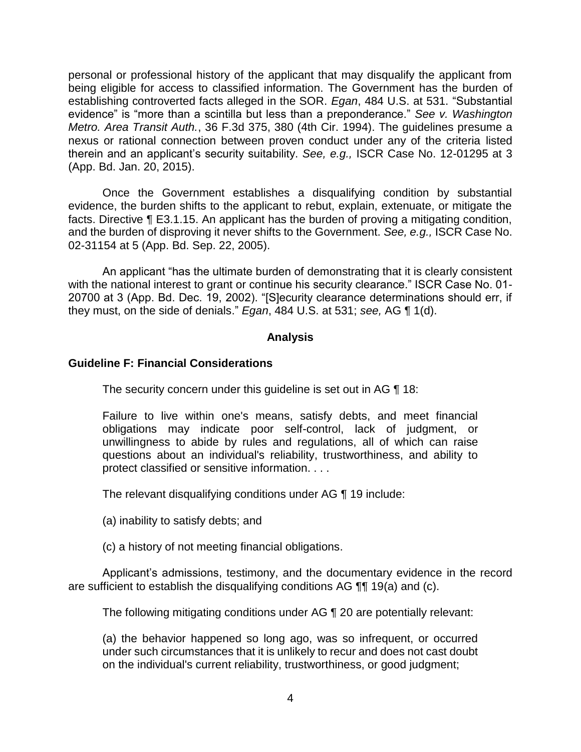personal or professional history of the applicant that may disqualify the applicant from being eligible for access to classified information. The Government has the burden of establishing controverted facts alleged in the SOR. *Egan*, 484 U.S. at 531. "Substantial evidence" is "more than a scintilla but less than a preponderance." *See v. Washington Metro. Area Transit Auth.*, 36 F.3d 375, 380 (4th Cir. 1994). The guidelines presume a nexus or rational connection between proven conduct under any of the criteria listed therein and an applicant's security suitability. *See, e.g.,* ISCR Case No. 12-01295 at 3 (App. Bd. Jan. 20, 2015).

 Once the Government establishes a disqualifying condition by substantial evidence, the burden shifts to the applicant to rebut, explain, extenuate, or mitigate the facts. Directive ¶ E3.1.15. An applicant has the burden of proving a mitigating condition, and the burden of disproving it never shifts to the Government. *See, e.g.,* ISCR Case No. 02-31154 at 5 (App. Bd. Sep. 22, 2005).

An applicant "has the ultimate burden of demonstrating that it is clearly consistent with the national interest to grant or continue his security clearance." ISCR Case No. 01- 20700 at 3 (App. Bd. Dec. 19, 2002). "[S]ecurity clearance determinations should err, if they must, on the side of denials." *Egan*, 484 U.S. at 531; *see,* AG ¶ 1(d).

#### **Analysis**

#### **Guideline F: Financial Considerations**

The security concern under this guideline is set out in AG ¶ 18:

Failure to live within one's means, satisfy debts, and meet financial obligations may indicate poor self-control, lack of judgment, or unwillingness to abide by rules and regulations, all of which can raise questions about an individual's reliability, trustworthiness, and ability to protect classified or sensitive information. . . .

The relevant disqualifying conditions under AG ¶ 19 include:

(a) inability to satisfy debts; and

(c) a history of not meeting financial obligations.

 Applicant's admissions, testimony, and the documentary evidence in the record are sufficient to establish the disqualifying conditions AG ¶¶ 19(a) and (c).

The following mitigating conditions under AG ¶ 20 are potentially relevant:

 (a) the behavior happened so long ago, was so infrequent, or occurred under such circumstances that it is unlikely to recur and does not cast doubt on the individual's current reliability, trustworthiness, or good judgment;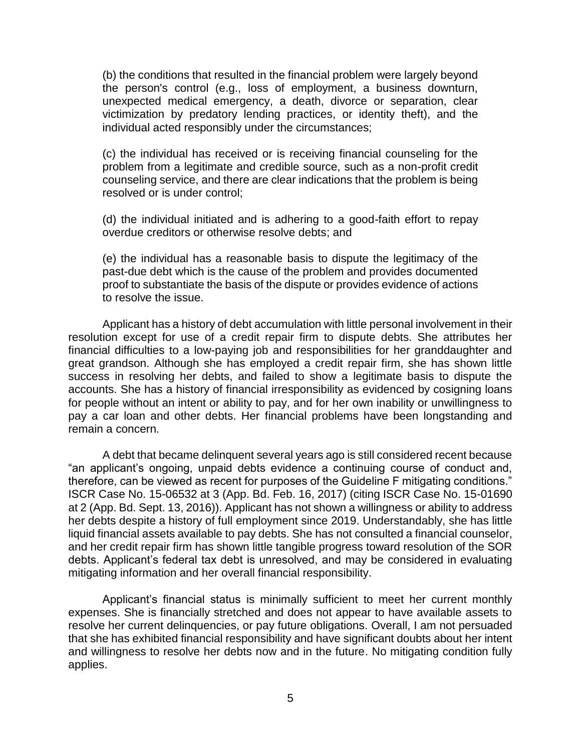(b) the conditions that resulted in the financial problem were largely beyond the person's control (e.g., loss of employment, a business downturn, unexpected medical emergency, a death, divorce or separation, clear victimization by predatory lending practices, or identity theft), and the individual acted responsibly under the circumstances;

(c) the individual has received or is receiving financial counseling for the problem from a legitimate and credible source, such as a non-profit credit counseling service, and there are clear indications that the problem is being resolved or is under control;

(d) the individual initiated and is adhering to a good-faith effort to repay overdue creditors or otherwise resolve debts; and

 (e) the individual has a reasonable basis to dispute the legitimacy of the proof to substantiate the basis of the dispute or provides evidence of actions past-due debt which is the cause of the problem and provides documented to resolve the issue.

 Applicant has a history of debt accumulation with little personal involvement in their resolution except for use of a credit repair firm to dispute debts. She attributes her financial difficulties to a low-paying job and responsibilities for her granddaughter and great grandson. Although she has employed a credit repair firm, she has shown little success in resolving her debts, and failed to show a legitimate basis to dispute the accounts. She has a history of financial irresponsibility as evidenced by cosigning loans for people without an intent or ability to pay, and for her own inability or unwillingness to pay a car loan and other debts. Her financial problems have been longstanding and remain a concern.

 A debt that became delinquent several years ago is still considered recent because "an applicant's ongoing, unpaid debts evidence a continuing course of conduct and, therefore, can be viewed as recent for purposes of the Guideline F mitigating conditions." ISCR Case No. 15-06532 at 3 (App. Bd. Feb. 16, 2017) (citing ISCR Case No. 15-01690 at 2 (App. Bd. Sept. 13, 2016)). Applicant has not shown a willingness or ability to address her debts despite a history of full employment since 2019. Understandably, she has little liquid financial assets available to pay debts. She has not consulted a financial counselor, and her credit repair firm has shown little tangible progress toward resolution of the SOR debts. Applicant's federal tax debt is unresolved, and may be considered in evaluating mitigating information and her overall financial responsibility.

 Applicant's financial status is minimally sufficient to meet her current monthly expenses. She is financially stretched and does not appear to have available assets to resolve her current delinquencies, or pay future obligations. Overall, I am not persuaded that she has exhibited financial responsibility and have significant doubts about her intent and willingness to resolve her debts now and in the future. No mitigating condition fully applies.